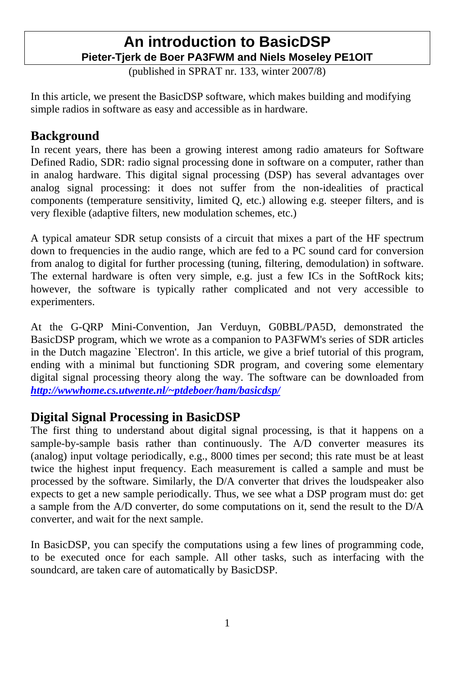## **An introduction to BasicDSP Pieter-Tjerk de Boer PA3FWM and Niels Moseley PE1OIT**

(published in SPRAT nr. 133, winter 2007/8)

In this article, we present the BasicDSP software, which makes building and modifying simple radios in software as easy and accessible as in hardware.

## **Background**

In recent years, there has been a growing interest among radio amateurs for Software Defined Radio, SDR: radio signal processing done in software on a computer, rather than in analog hardware. This digital signal processing (DSP) has several advantages over analog signal processing: it does not suffer from the non-idealities of practical components (temperature sensitivity, limited Q, etc.) allowing e.g. steeper filters, and is very flexible (adaptive filters, new modulation schemes, etc.)

A typical amateur SDR setup consists of a circuit that mixes a part of the HF spectrum down to frequencies in the audio range, which are fed to a PC sound card for conversion from analog to digital for further processing (tuning, filtering, demodulation) in software. The external hardware is often very simple, e.g. just a few ICs in the SoftRock kits; however, the software is typically rather complicated and not very accessible to experimenters.

At the G-QRP Mini-Convention, Jan Verduyn, G0BBL/PA5D, demonstrated the BasicDSP program, which we wrote as a companion to PA3FWM's series of SDR articles in the Dutch magazine `Electron'. In this article, we give a brief tutorial of this program, ending with a minimal but functioning SDR program, and covering some elementary digital signal processing theory along the way. The software can be downloaded from *http://wwwhome.cs.utwente.nl/~ptdeboer/ham/basicdsp/*

## **Digital Signal Processing in BasicDSP**

The first thing to understand about digital signal processing, is that it happens on a sample-by-sample basis rather than continuously. The A/D converter measures its (analog) input voltage periodically, e.g., 8000 times per second; this rate must be at least twice the highest input frequency. Each measurement is called a sample and must be processed by the software. Similarly, the D/A converter that drives the loudspeaker also expects to get a new sample periodically. Thus, we see what a DSP program must do: get a sample from the A/D converter, do some computations on it, send the result to the D/A converter, and wait for the next sample.

In BasicDSP, you can specify the computations using a few lines of programming code, to be executed once for each sample. All other tasks, such as interfacing with the soundcard, are taken care of automatically by BasicDSP.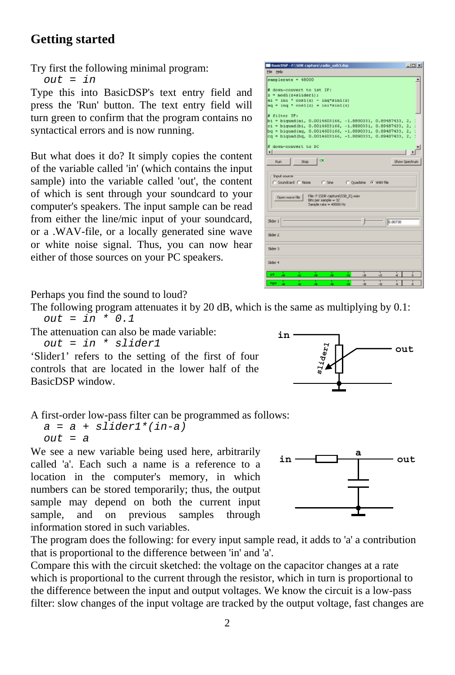## **Getting started**

Try first the following minimal program:

*out = in* 

Type this into BasicDSP's text entry field and press the 'Run' button. The text entry field will turn green to confirm that the program contains no syntactical errors and is now running.

But what does it do? It simply copies the content of the variable called 'in' (which contains the input sample) into the variable called 'out', the content of which is sent through your soundcard to your computer's speakers. The input sample can be read from either the line/mic input of your soundcard, or a .WAV-file, or a locally generated sine wave or white noise signal. Thus, you can now hear either of those sources on your PC speakers.

Perhaps you find the sound to loud?

The following program attenuates it by 20 dB, which is the same as multiplying by 0.1: *out = in \* 0.1* 

The attenuation can also be made variable:

*out = in \* slider1* 

'Slider1' refers to the setting of the first of four controls that are located in the lower half of the BasicDSP window.

A first-order low-pass filter can be programmed as follows:

*a = a + slider1\*(in-a) out = a* 

We see a new variable being used here, arbitrarily called 'a'. Each such a name is a reference to a location in the computer's memory, in which numbers can be stored temporarily; thus, the output sample may depend on both the current input sample, and on previous samples through information stored in such variables.

The program does the following: for every input sample read, it adds to 'a' a contribution that is proportional to the difference between 'in' and 'a'.

Compare this with the circuit sketched: the voltage on the capacitor changes at a rate which is proportional to the current through the resistor, which in turn is proportional to the difference between the input and output voltages. We know the circuit is a low-pass filter: slow changes of the input voltage are tracked by the output voltage, fast changes are





| $z = \text{mod}1(z + \text{d}1(d e x 1))$<br>$ai = ini * cost(z) - inq*sin1(z)$<br>$aq = ing \cdot cos1(z) + ini*sin1(z)$<br>$h1 = hiquad(ai, 0.0014603166, -1.8890331, 0.89487433, 2,$<br>ci = biquad(bi, 0.0014603166, -1.8890331, 0.89487433, 2,<br>bg = biguad(ag, 0.0014603166, -1.8890331, 0.89487433, 2,<br>cq = biquad(bq, 0.0014603166, -1.8890331, 0.89487433, 2,<br>$\blacksquare$<br><b>OK</b><br>Run<br>Stop:<br>Show Spectrum<br><b>Input source</b><br>$C$ She<br>C Soundcard C Noise<br>C Quadsine G WAV file<br>File: F:\SDR capture\SSB_IO.wav<br>Open wave file<br>Bits per sample = 32<br>Sample rate = 48000 Hz<br>0.80730<br>Slider <sub>2</sub><br>Slider 4 | File Help                 |
|------------------------------------------------------------------------------------------------------------------------------------------------------------------------------------------------------------------------------------------------------------------------------------------------------------------------------------------------------------------------------------------------------------------------------------------------------------------------------------------------------------------------------------------------------------------------------------------------------------------------------------------------------------------------------------|---------------------------|
|                                                                                                                                                                                                                                                                                                                                                                                                                                                                                                                                                                                                                                                                                    | samplerate = 48000        |
|                                                                                                                                                                                                                                                                                                                                                                                                                                                                                                                                                                                                                                                                                    | # down-convert to ist IF: |
|                                                                                                                                                                                                                                                                                                                                                                                                                                                                                                                                                                                                                                                                                    |                           |
|                                                                                                                                                                                                                                                                                                                                                                                                                                                                                                                                                                                                                                                                                    |                           |
|                                                                                                                                                                                                                                                                                                                                                                                                                                                                                                                                                                                                                                                                                    |                           |
|                                                                                                                                                                                                                                                                                                                                                                                                                                                                                                                                                                                                                                                                                    | # filter IF:              |
|                                                                                                                                                                                                                                                                                                                                                                                                                                                                                                                                                                                                                                                                                    |                           |
|                                                                                                                                                                                                                                                                                                                                                                                                                                                                                                                                                                                                                                                                                    |                           |
|                                                                                                                                                                                                                                                                                                                                                                                                                                                                                                                                                                                                                                                                                    |                           |
|                                                                                                                                                                                                                                                                                                                                                                                                                                                                                                                                                                                                                                                                                    |                           |
|                                                                                                                                                                                                                                                                                                                                                                                                                                                                                                                                                                                                                                                                                    | # down-convert to DC      |
|                                                                                                                                                                                                                                                                                                                                                                                                                                                                                                                                                                                                                                                                                    |                           |
|                                                                                                                                                                                                                                                                                                                                                                                                                                                                                                                                                                                                                                                                                    |                           |
|                                                                                                                                                                                                                                                                                                                                                                                                                                                                                                                                                                                                                                                                                    |                           |
|                                                                                                                                                                                                                                                                                                                                                                                                                                                                                                                                                                                                                                                                                    |                           |
|                                                                                                                                                                                                                                                                                                                                                                                                                                                                                                                                                                                                                                                                                    |                           |
|                                                                                                                                                                                                                                                                                                                                                                                                                                                                                                                                                                                                                                                                                    |                           |
|                                                                                                                                                                                                                                                                                                                                                                                                                                                                                                                                                                                                                                                                                    |                           |
|                                                                                                                                                                                                                                                                                                                                                                                                                                                                                                                                                                                                                                                                                    |                           |
|                                                                                                                                                                                                                                                                                                                                                                                                                                                                                                                                                                                                                                                                                    |                           |
|                                                                                                                                                                                                                                                                                                                                                                                                                                                                                                                                                                                                                                                                                    |                           |
|                                                                                                                                                                                                                                                                                                                                                                                                                                                                                                                                                                                                                                                                                    | Slider 1                  |
|                                                                                                                                                                                                                                                                                                                                                                                                                                                                                                                                                                                                                                                                                    |                           |
|                                                                                                                                                                                                                                                                                                                                                                                                                                                                                                                                                                                                                                                                                    |                           |
|                                                                                                                                                                                                                                                                                                                                                                                                                                                                                                                                                                                                                                                                                    |                           |
|                                                                                                                                                                                                                                                                                                                                                                                                                                                                                                                                                                                                                                                                                    |                           |
|                                                                                                                                                                                                                                                                                                                                                                                                                                                                                                                                                                                                                                                                                    | Slider 3                  |
|                                                                                                                                                                                                                                                                                                                                                                                                                                                                                                                                                                                                                                                                                    |                           |
|                                                                                                                                                                                                                                                                                                                                                                                                                                                                                                                                                                                                                                                                                    |                           |
| <b>UR</b><br>$-18$<br>48<br>45<br>4<br>46<br>$-12$                                                                                                                                                                                                                                                                                                                                                                                                                                                                                                                                                                                                                                 |                           |

 $int$ 

BasicBCB - ENCBR candinal radio, ruled due